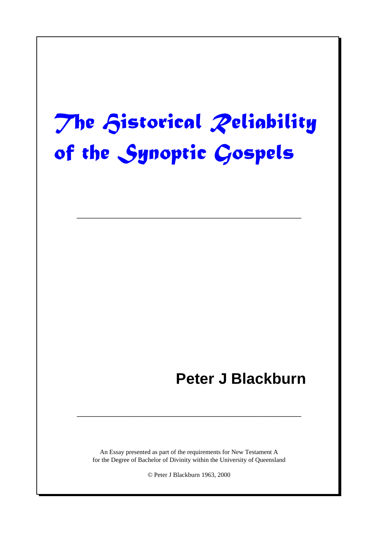# en de la construcción de la construcción de la construcción de la construcción de la construcción de la constr

––––––––––––––––––––––––––––––––––––––––––––––

# **Peter J Blackburn**

An Essay presented as part of the requirements for New Testament A for the Degree of Bachelor of Divinity within the University of Queensland

––––––––––––––––––––––––––––––––––––––––––––––

© Peter J Blackburn 1963, 2000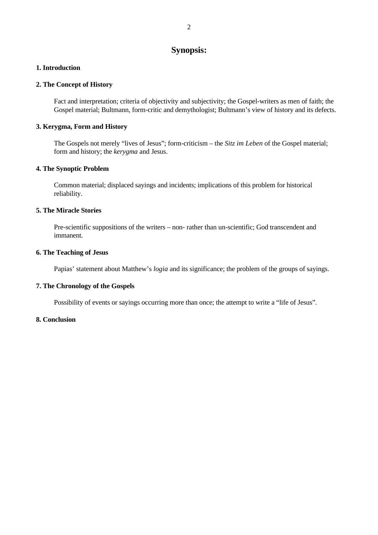# **Synopsis:**

#### **1. Introduction**

#### **2. The Concept of History**

Fact and interpretation; criteria of objectivity and subjectivity; the Gospel-writers as men of faith; the Gospel material; Bultmann, form-critic and demythologist; Bultmann's view of history and its defects.

#### **3. Kerygma, Form and History**

The Gospels not merely "lives of Jesus"; form-criticism – the *Sitz im Leben* of the Gospel material; form and history; the *kerygma* and Jesus.

#### **4. The Synoptic Problem**

Common material; displaced sayings and incidents; implications of this problem for historical reliability.

#### **5. The Miracle Stories**

Pre-scientific suppositions of the writers – non- rather than un-scientific; God transcendent and immanent.

#### **6. The Teaching of Jesus**

Papias' statement about Matthew's *logia* and its significance; the problem of the groups of sayings.

#### **7. The Chronology of the Gospels**

Possibility of events or sayings occurring more than once; the attempt to write a "life of Jesus".

#### **8. Conclusion**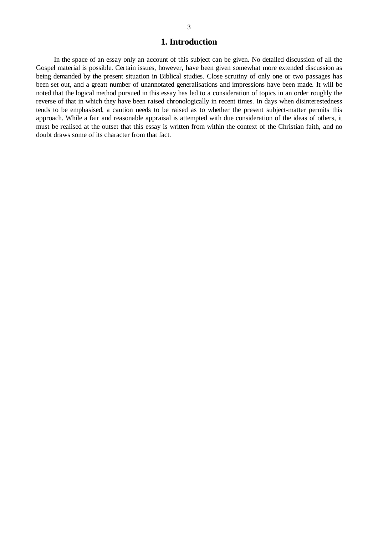# **1. Introduction**

In the space of an essay only an account of this subject can be given. No detailed discussion of all the Gospel material is possible. Certain issues, however, have been given somewhat more extended discussion as being demanded by the present situation in Biblical studies. Close scrutiny of only one or two passages has been set out, and a greatt number of unannotated generalisations and impressions have been made. It will be noted that the logical method pursued in this essay has led to a consideration of topics in an order roughly the reverse of that in which they have been raised chronologically in recent times. In days when disinterestedness tends to be emphasised, a caution needs to be raised as to whether the present subject-matter permits this approach. While a fair and reasonable appraisal is attempted with due consideration of the ideas of others, it must be realised at the outset that this essay is written from within the context of the Christian faith, and no doubt draws some of its character from that fact.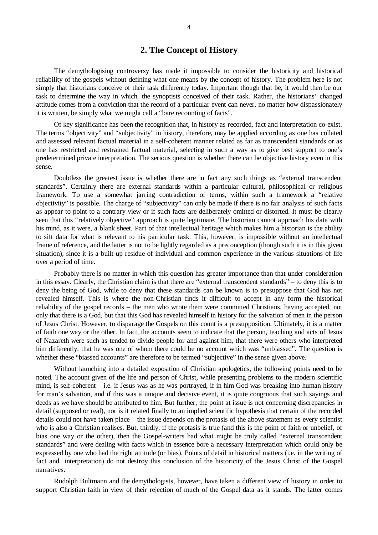### **2. The Concept of History**

The demythologising controversy has made it impossible to consider the historicity and historical reliability of the gospels without defining what one means by the concept of history. The problem here is not simply that historians conceive of their task differently today. Important though that be, it would then be our task to determine the way in which. the synoptists conceived of their task. Rather, the historians' changed attitude comes from a conviction that the record of a particular event can never, no matter how dispassionately it is written, be simply what we might call a "bare recounting of facts".

Of key significance has been the recognition that, in history as recorded, fact and interpretation co-exist. The terms "objectivity" and "subjectivity" in history, therefore, may be applied according as one has collated and assessed relevant factual material in a self-coherent manner related as far as transcendent standards or as one has restricted and restrained factual material, selecting in such a way as to give best support to one's predetermined private interpretation. The serious question is whether there can be objective history even in this sense.

Doubtless the greatest issue is whether there are in fact any such things as "external transcendent standards". Certainly there are external standards within a particular cultural, philosophical or religious framework. To use a somewhat jarring contradiction of terms, within such a framework a "relative objectivity" is possible. The charge of "subjectivity" can only be made if there is no fair analysis of such facts as appear to point to a contrary view or if such facts are deliberately omitted or distorted. It must be clearly seen that this "relatively objective" approach is quite legitimate. The historian cannot approach his data with his mind, as it were, a blank sheet. Part of that intellectual heritage which makes him a historian is the ability to sift data for what is relevant to his particular task. This, however, is impossible without an intellectual frame of reference, and the latter is not to be lightly regarded as a preconception (though such it is in this given situation), since it is a built-up residue of individual and common experience in the various situations of life over a period of time.

Probably there is no matter in which this question has greater importance than that under consideration in this essay. Clearly, the Christian claim is that there are "external transcendent standards" – to deny this is to deny the being of God, while to deny that these standards can be known is to presuppose that God has not revealed himself. This is where the non-Christian finds it difficult to accept in any form the historical reliability of the gospel records – the men who wrote them were committed Christians, having accepted, not only that there is a God, but that this God has revealed himself in history for the salvation of men in the person of Jesus Christ. However, to disparage the Gospels on this count is a presupposition. Ultimately, it is a matter of faith one way or the other. In fact, the accounts seem to indicate that the person, teaching and acts of Jesus of Nazareth were such as tended to divide people for and against him, that there were others who interpreted him differently, that he was one of whom there could be no account which was "unbiassed". The question is whether these "biassed accounts" are therefore to be termed "subjective" in the sense given above.

Without launching into a detailed exposition of Christian apologetics, the following points need to be noted. The account given of the life and person of Christ, while presenting problems to the modern scientific mind, is self-coherent – i.e. if Jesus was as he was portrayed, if in him God was breaking into human history for man's salvation, and if this was a unique and decisive event, it is quite congruous that such sayings and deeds as we have should be attributed to him. But further, the point at issue is not concerning discrepancies in detail (supposed or real), nor is it related finally to an implied scientific hypothesis that certain of the recorded details could not have taken place – the issue depends on the protasis of the above statement as every scientist who is also a Christian realises. But, thirdly, if the protasis is true (and this is the point of faith or unbelief, of bias one way or the other), then the Gospel-writers had what might be truly called "external transcendent standards" and were dealing with facts which in essence bore a necessary interpretation which could only be expressed by one who had the right attitude (or bias). Points of detail in historical matters (i.e. in the writing of fact and interpretation) do not destroy this conclusion of the historicity of the Jesus Christ of the Gospel narratives.

Rudolph Bultmann and the demythologists, however, have taken a different view of history in order to support Christian faith in view of their rejection of much of the Gospel data as it stands. The latter comes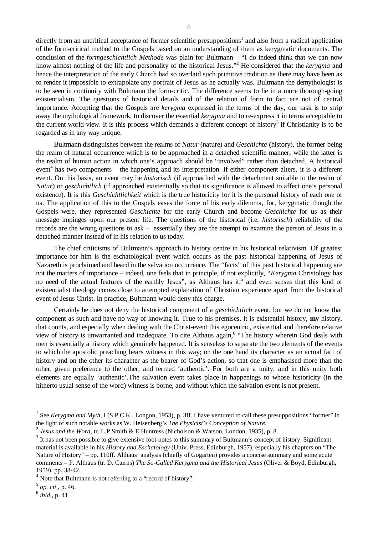directly from an uncritical acceptance of former scientific presuppositions<sup>1</sup> and also from a radical application of the form-critical method to the Gospels based on an understanding of them as kerygmatic documents. The conclusion of the *formgeschichtlich Methode* was plain for Bultmann – "I do indeed think that we can now know almost nothing of the life and personality of the historical Jesus." <sup>2</sup> He considered that the *kerygma* and hence the interpretation of the early Church had so overlaid such primitive tradition as there may have been as to render it impossible to extrapolate any portrait of Jesus as he actually was. Bultmann the demythologist is to be seen in continuity with Bultmann the form-critic. The difference seems to lie in a more thorough-going existentialism. The questions of historical details and of the relation of form to fact are not of central importance. Accepting that the Gospels are *kerygma* expressed in the terms of the day, our task is to strip away the mythological framework, to discover the essential *kerygma* and to re-express it in terms acceptable to the current world-view. It is this process which demands a different concept of history<sup>3</sup> if Christianity is to be regarded as in any way unique.

Bultmann distinguishes between the realms of *Natur* (nature) and *Geschichte* (history), the former being the realm of natural occurrence which is to be approached in a detached scientific manner, while the latter is the realm of human action in which one's approach should be "involved" rather than detached. A historical event 4 has two components – the happening and its interpretation. If either component alters, it is a different event. On this basis, an event may be *historisch* (if approached with the detachment suitable to the realm of *Natur*) or *geschichtlich* (if approached existentially so that its significance is allowed to affect one's personal existence). It is this *Geschichtlichkeit* which is the true historicity for it is the personal history of each one of us. The application of this to the Gospels eases the force of his early dilemma, for, kerygmatic though the Gospels were, they represented *Geschichte* for the early Church and become *Geschichte* for us as their message impinges upon our present life. The questions of the historical (i.e. *historisch*) reliability of the records are the wrong questions to ask – essentially they are the attempt to examine the person of Jesus in a detached manner instead of in his relation to us today.

The chief criticisms of Bultmann's approach to history centre in his historical relativism. Of greatest importance for him is the eschatological event which occurs as the past historical happening of Jesus of Nazareth is proclaimed and heard in the salvation occurrence. The "facts" of this past historical happening are not the matters of importance – indeed, one feels that in principle, if not explicitly, "*Kerygma* Christology has no need of the actual features of the earthly Jesus", as Althaus has it,<sup>5</sup> and even senses that this kind of existentialist theology comes close to attempted explanation of Christian experience apart from the historical event of Jesus Christ. In practice, Bultmann would deny this charge.

Certainly he does not deny the historical component of a *geschichtlich* event, but we do not know that component as such and have no way of knowing it. True to his premises, it is existential history, **my** history, that counts, and especially when dealing with the Christ-event this egocentric, existential and therefore relative view of history is unwarranted and inadequate. To cite Althaus again,<sup>6</sup> "The history wherein God deals with men is essentially a history which genuinely happened. It is senseless to separate the two elements of the events to which the apostolic preaching bears witness in this way; on the one hand its character as an actual fact of history and on the other its character as the bearer of God's action, so that one is emphasised more than the other, given preference to the other, and termed 'authentic'. For both are a unity, and in this unity both elements are equally 'authentic'.The salvation event takes place in happenings to whose historicity (in the hitherto usual sense of the word) witness is borne, and without which the salvation event is not present.

<sup>&</sup>lt;sup>1</sup> See *Kerygma and Myth*, I (S.P.C.K., Longon, 1953), p. 3ff. I have ventured to call these presuppositions "former" in the light of such notable works as W. Heisenberg's *The Physicist's Conception of Nature*.

<sup>2</sup> *Jesus and the Word*, tr. L.P.Smith & E.Huntress (Nicholson & Watson, London, 1935), p. 8.

 $3$  It has not been possible to give extensive foot-notes to this summary of Bultmann's concept of history. Significant material is available in his *History and Eschatology* (Univ. Press, Edinburgh, 1957), especially his chapters on "The Nature of History" – pp. 110ff. Althaus' analysis (chiefly of Gogarten) provides a concise summary and some acute comments – P. Althaus (tr. D. Cairns) *The So-Called Kerygma and the Historical Jesus* (Oliver & Boyd, Edinburgh, 1959), pp. 38-42.

<sup>&</sup>lt;sup>4</sup> Note that Bultmann is not referring to a "record of history".

<sup>5</sup> *op. cit*., p. 46.

<sup>6</sup> *ibid*., p. 41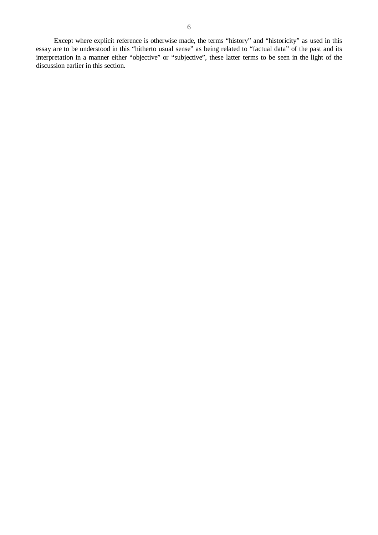Except where explicit reference is otherwise made, the terms "history" and "historicity" as used in this essay are to be understood in this "hitherto usual sense" as being related to "factual data" of the past and its interpretation in a manner either "objective" or "subjective", these latter terms to be seen in the light of the discussion earlier in this section.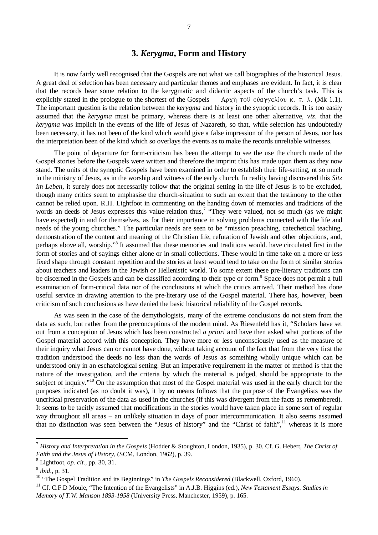# **3.** *Kerygma***, Form and History**

It is now fairly well recognised that the Gospels are not what we call biographies of the historical Jesus. A great deal of selection has been necessary and particular themes and emphases are evident. In fact, it is clear that the records bear some relation to the kerygmatic and didactic aspects of the church's task. This is explicitly stated in the prologue to the shortest of the Gospels –  $A\rho\chi\eta$   $\tau$  =  $\phi\alpha\gamma\gamma\epsilon\lambda(\omega v \kappa \tau \tau \lambda)$ . (Mk 1.1). The important question is the relation between the *kerygma* and history in the synoptic records. It is too easily assumed that the *kerygma* must be primary, whereas there is at least one other alternative, *viz*. that the *kerygma* was implicit in the events of the life of Jesus of Nazareth, so that, while selection has undoubtedly been necessary, it has not been of the kind which would give a false impression of the person of Jesus, nor has the interpretation been of the kind which so overlays the events as to make the records unreliable witnesses.

The point of departure for form-criticism has been the attempt to see the use the church made of the Gospel stories before the Gospels were written and therefore the imprint this has made upon them as they now stand. The units of the synoptic Gospels have been examined in order to establish their life-setting, nt so much in the ministry of Jesus, as in the worship and witness of the early church. In reality having discovered this *Sitz im Leben*, it surely does not necessarily follow that the original setting in the life of Jesus is to be excluded, though many critics seem to emphasise the church-situation to such an extent that the testimony to the other cannot be relied upon. R.H. Lightfoot in commenting on the handing down of memories and traditions of the words an deeds of Jesus expresses this value-relation thus,<sup>7</sup> "They were valued, not so much (as we might have expected) in and for themselves, as for their importance in solving problems connected with the life and needs of the young churches." The particular needs are seen to be "mission preaching, catechetical teaching, demonstration of the content and meaning of the Christian life, refutation of Jewish and other objections, and, perhaps above all, worship."<sup>8</sup> It assumed that these memories and traditions would. have circulated first in the form of stories and of sayings either alone or in small collections. These would in time take on a more or less fixed shape through constant repetition and the stories at least would tend to take on the form of similar stories about teachers and leaders in the Jewish or Hellenistic world. To some extent these pre-literary traditions can be discerned in the Gospels and can be classified according to their type or form.<sup>9</sup> Space does not permit a full examination of form-critical data nor of the conclusions at which the critics arrived. Their method has done useful service in drawing attention to the pre-literary use of the Gospel material. There has, however, been criticism of such conclusions as have denied the basic historical reliability of the Gospel records.

As was seen in the case of the demythologists, many of the extreme conclusions do not stem from the data as such, but rather from the preconceptions of the modern mind. As Riesenfeld has it, "Scholars have set out from a conception of Jesus which has been constructed *a priori* and have then asked what portions of the Gospel material accord with this conception. They have more or less unconsciously used as the measure of their inquiry what Jesus can or cannot have done, without taking account of the fact that from the very first the tradition understood the deeds no less than the words of Jesus as something wholly unique which can be understood only in an eschatological setting. But an imperative requirement in the matter of method is that the nature of the investigation, and the criteria by which the material is judged, should be appropriate to the subject of inquiry."<sup>10</sup> On the assumption that most of the Gospel material was used in the early church for the purposes indicated (as no doubt it was), it by no means follows that the purpose of the Evangelists was the uncritical preservation of the data as used in the churches (if this was divergent from the facts as remembered). It seems to be tacitly assumed that modifications in the stories would have taken place in some sort of regular way throughout all areas – an unlikely situation in days of poor intercommunication. It also seems assumed that no distinction was seen between the "Jesus of history" and the "Christ of faith",<sup>11</sup> whereas it is more

<sup>7</sup> *History and Interpretation in the Gospels* (Hodder & Stoughton, London, 1935), p. 30. Cf. G. Hebert, *The Christ of Faith and the Jesus of History*, (SCM, London, 1962), p. 39.

<sup>8</sup> Lightfoot, *op. cit.*, pp. 30, 31.

<sup>9</sup> *ibid*., p. 31.

<sup>&</sup>lt;sup>10</sup> "The Gospel Tradition and its Beginnings" in *The Gospels Reconsidered* (Blackwell, Oxford, 1960).

<sup>&</sup>lt;sup>11</sup> Cf. C.F.D Moule, "The Intention of the Evangelists" in A.J.B. Higgins (ed.), *New Testament Essays. Studies in Memory of T.W. Manson 1893-1958* (University Press, Manchester, 1959), p. 165.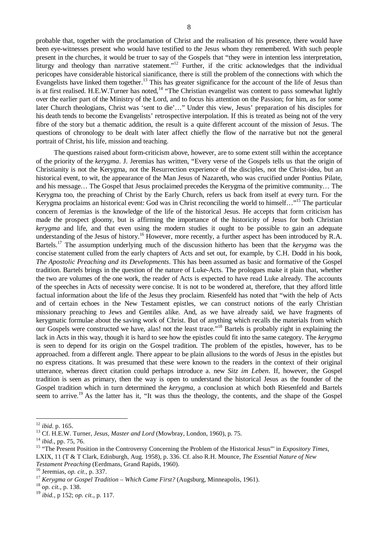probable that, together with the proclamation of Christ and the realisation of his presence, there would have been eye-witnesses present who would have testified to the Jesus whom they remembered. With such people present in the churches, it would be truer to say of the Gospels that "they were in intention less interpretation, liturgy and theology than narrative statement."<sup>12</sup> Further, if the critic acknowledges that the individual pericopes have considerable historical sianificance, there is still the problem of the connections with which the Evangelists have linked them together.<sup>13</sup> This has greater significance for the account of the life of Jesus than is at first realised. H.E.W.Turner has noted,<sup>14</sup> "The Christian evangelist was content to pass somewhat lightly over the earlier part of the Ministry of the Lord, and to focus his attention on the Passion; for him, as for some later Church theologians, Christ was 'sent to die'…" Under this view, Jesus' preparation of his disciples for his death tends to become the Evangelists' retrospective interpolation. If this is treated as being not of the very fibre of the story but a thematic addition, the result is a quite different account of the mission of Jesus. The questions of chronology to be dealt with later affect chiefly the flow of the narrative but not the general portrait of Christ, his life, mission and teaching.

The questions raised about form-criticism above, however, are to some extent still within the acceptance of the priority of the *kerygma*. J. Jeremias has written, "Every verse of the Gospels tells us that the origin of Christianity is not the Kerygma, not the Resurrection experience of the disciples, not the Christ-idea, but an historical event, to wit, the appearance of the Man Jesus of Nazareth, who was crucified under Pontius Pilate, and his message… The Gospel that Jesus proclaimed precedes the Kerygma of the primitive community… The Kerygma too, the preaching of Christ by the Early Church, refers us back from itself at every turn. For the Kerygma proclaims an historical event: God was in Christ reconciling the world to himself..."<sup>15</sup> The particular concern of Jeremias is the knowledge of the life of the historical Jesus. He accepts that form criticism has made the prospect gloomy, but is affirming the importance of the historicity of Jesus for both Christian *kerygma* and life, and that even using the modern studies it ought to be possible to gain an adequate understanding of the Jesus of history.<sup>16</sup> However, more recently, a further aspect has been introduced by R.A. Bartels. <sup>17</sup> The assumption underlying much of the discussion hitherto has been that the *kerygma* was the concise statement culled from the early chapters of Acts and set out, for example, by C.H. Dodd in his book, *The Apostolic Preaching and its Developments*. This has been assumed as basic and formative of the Gospel tradition. Bartels brings in the question of the nature of Luke-Acts. The prologues make it plain that, whether the two are volumes of the one work, the reader of Acts is expected to have read Luke already. The accounts of the speeches in Acts of necessity were concise. It is not to be wondered at, therefore, that they afford little factual information about the life of the Jesus they proclaim. Riesenfeld has noted that "with the help of Acts and of certain echoes in the New Testament epistles, we can construct notions of the early Christian missionary preaching to Jews and Gentiles alike. And, as we have already said, we have fragments of kerygmatic formulae about the saving work of Christ. But of anything which recalls the materials from which our Gospels were constructed we have, alas! not the least trace."<sup>18</sup> Bartels is probably right in explaining the lack in Acts in this way, though it is hard to see how the epistles could fit into the same category. The *kerygma* is seen to depend for its origin on the Gospel tradition. The problem of the epistles, however, has to be approached. from a different angle. There appear to be plain allusions to the words of Jesus in the epistles but no express citations. It was presumed that these were known to the readers in the context of their original utterance, whereas direct citation could perhaps introduce a. new *Sitz im Leben*. If, however, the Gospel tradition is seen as primary, then the way is open to understand the historical Jesus as the founder of the Gospel tradition which in turn determined the *kerygma*, a conclusion at which both Riesenfeld and Bartels seem to arrive.<sup>19</sup> As the latter has it, "It was thus the theology, the contents, and the shape of the Gospel

<sup>12</sup> *ibid.* p. 165.

<sup>13</sup> Cf. H.E.W. Turner, *Jesus, Master and Lord* (Mowbray, London, 1960), p. 75.

<sup>14</sup> *ibid.*, pp. 75, 76.

<sup>&</sup>lt;sup>15</sup> "The Present Position in the Controversy Concerning the Problem of the Historical Jesus" in *Expository Times*, LXIX, 11 (T & T Clark, Edinburgh, Aug. 1958), p. 336. Cf. also R.H. Mounce, *The Essential Nature of New Testament Preaching* (Eerdmans, Grand Rapids, 1960).

<sup>16</sup> Jeremias, *op. cit.*, p. 337.

<sup>17</sup> *Kerygma or Gospel Tradition – Which Came First?* (Augsburg, Minneapolis, 1961).

<sup>18</sup> *op. cit.*, p. 138.

<sup>19</sup> *ibid.*, p 152; *op. cit.*, p. 117.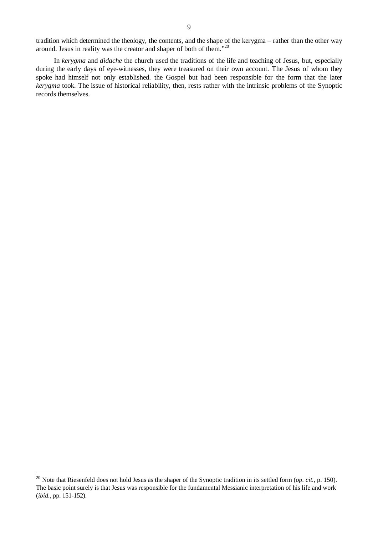tradition which determined the theology, the contents, and the shape of the kerygma – rather than the other way around. Jesus in reality was the creator and shaper of both of them."<sup>20</sup>

In *kerygma* and *didache* the church used the traditions of the life and teaching of Jesus, but, especially during the early days of eye-witnesses, they were treasured on their own account. The Jesus of whom they spoke had himself not only established. the Gospel but had been responsible for the form that the later *kerygma* took. The issue of historical reliability, then, rests rather with the intrinsic problems of the Synoptic records themselves.

<sup>&</sup>lt;sup>20</sup> Note that Riesenfeld does not hold Jesus as the shaper of the Synoptic tradition in its settled form (*op. cit.*, p. 150). The basic point surely is that Jesus was responsible for the fundamental Messianic interpretation of his life and work (*ibid.*, pp. 151-152).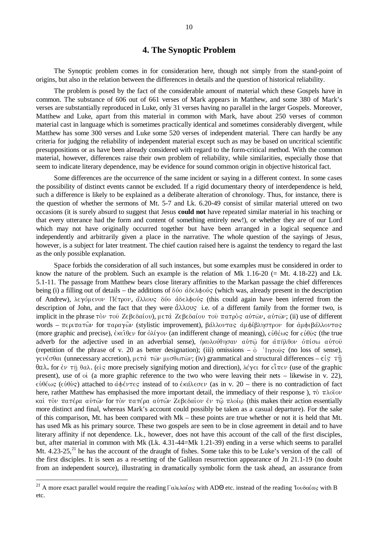#### **4. The Synoptic Problem**

The Synoptic problem comes in for consideration here, though not simply from the stand-point of origins, but also in the relation between the differences in details and the question of historical reliability.

The problem is posed by the fact of the considerable amount of material which these Gospels have in common. The substance of 606 out of 661 verses of Mark appears in Matthew, and some 380 of Mark's verses are substantially reproduced in Luke, only 31 verses having no parallel in the larger Gospels. Moreover, Matthew and Luke, apart from this material in common with Mark, have about 250 verses of common material cast in language which is sometimes practically identical and sometimes considerably divergent, while Matthew has some 300 verses and Luke some 520 verses of independent material. There can hardly be any criteria for judging the reliability of independent material except such as may be based on uncritical scientific presuppositions or as have been already considered with regard to the form-critical method. With the common material, however, differences raise their own problem of reliability, while similarities, especially those that seem to indicate literary dependence, may be evidence for sound common origin in objective historical fact.

Some differences are the occurrence of the same incident or saying in a different context. In some cases the possibility of distinct events cannot be excluded. If a rigid documentary theory of interdependence is held, such a difference is likely to be explained as a deliberate alteration of chronology. Thus, for instance, there is the question of whether the sermons of Mt. 5-7 and Lk. 6.20-49 consist of similar material uttered on two occasions (it is surely absurd to suggest that Jesus **could not** have repeated similar material in his teaching or that every utterance had the form and content of something entirely new!), or whether they are of our Lord which may not have originally occurred together but have been arranged in a logical sequence and independently and arbitrarily given a place in the narrative. The whole question of the sayings of Jesus, however, is a subject for later treatment. The chief caution raised here is against the tendency to regard the last as the only possible explanation.

Space forbids the consideration of all such instances, but some examples must be considered in order to know the nature of the problem. Such an example is the relation of Mk  $1.16-20$  (= Mt. 4.18-22) and Lk. 5.1-11. The passage from Matthew bears close literary affinities to the Markan passage the chief differences being (i) a filling out of details – the additions of  $\delta\phi \circ d\delta \in \lambda \phi \circ \phi$ ; (which was, already present in the description of Andrew), λεγόμενον Πέτρον, ἄλλους δύο άδελφούς (this could again have been inferred from the description of John, and the fact that they were  $\ddot{\alpha} \lambda \lambda o \alpha \varsigma$  i.e. of a different family from the former two, is implicit in the phrase  $\tau \delta \nu \tau \sigma \hat{v}$  Z $\epsilon \beta \epsilon \delta \alpha(\sigma \nu)$ ,  $\mu \epsilon \tau \dot{\alpha}$  Z $\epsilon \beta \epsilon \delta \alpha(\sigma \nu \tau \sigma \hat{v})$   $\pi \alpha \tau \rho \dot{\delta} \varsigma$   $\alpha \dot{\nu} \tau \dot{\omega} \nu$ ,  $\alpha \dot{\nu} \tau \dot{\omega} \nu$ ; (ii) use of different words – περιπατών for παραγών (stylistic improvement), βάλλοντας αμφίβληστρον for αμφιβάλλοντας (more graphic and precise),  $\epsilon \kappa \epsilon \hat{\iota} \theta \epsilon \nu$  for  $\delta \lambda \hat{\iota} \gamma \circ \nu$  (an indifferent change of meaning),  $\epsilon \hat{\iota} \theta \epsilon \omega s$  for  $\epsilon \hat{\iota} \theta \hat{\iota} s$  (the true adverb for the adjective used in an adverbial sense),  $\eta \kappa \partial \lambda \partial \theta \eta \sigma \partial \nu$  a $\vartheta \tau \partial \rho$  for  $\vartheta \pi \eta \partial \theta$ (repetition of the phrase of v. 20 as better designation); (iii) omissions –  $\dot{\text{o}}$  ' $\text{lp}$  $\sigma$  $\hat{\text{o}}$ ' $\text{g}$  (no loss of sense), γενέσθαι (unnecessary accretion), μετά τῶν μισθωτῶν; (iv) grammatical and structural differences – εἰς τῆ θαλ. for έν τῆ θαλ. (είς more precisely signifying motion and direction), λέγει for εἶπεν (use of the graphic present), use of  $\delta$  (a more graphic reference to the two who were leaving their nets – likewise in v. 22), ∈ὐθέως (∈ὐθὺς) attached to ἀφέντες instead of to ἐκάλεσεν (as in v. 20 – there is no contradiction of fact here, rather Matthew has emphasised the more important detail, the immediacy of their response),  $\tau\dot{\sigma}$   $\pi\lambda o\dot{\tau}o\nu$ καὶ τὸν πατέρα αὐτῶν for τὸν πατέρα αὐτῶν Ζεβεδαῖον ἐν τῷ πλοίῳ (this makes their action essentially more distinct and final, whereas Mark's account could possibly be taken as a casual departure). For the sake of this comparison, Mt. has been compared with Mk – these points are true whether or not it is held that Mt. has used Mk as his primary source. These two gospels are seen to be in close agreement in detail and to have literary affinity if not dependence. Lk., however, does not have this account of the call of the first disciples, but, after material in common with Mk (Lk. 4.31-44=Mk 1.21-39) ending in a verse which seems to parallel Mt.  $4.23-25$ ,<sup>21</sup> he has the account of the draught of fishes. Some take this to be Luke's version of the call of the first disciples. It is seen as a re-setting of the Galilean resurrection appearance of Jn 21.1-19 (no doubt from an independent source), illustrating in dramatically symbolic form the task ahead, an assurance from

<sup>&</sup>lt;sup>21</sup> A more exact parallel would require the reading Γαλιλαίας with ADΘ etc. instead of the reading Ἰουδαίας with B etc.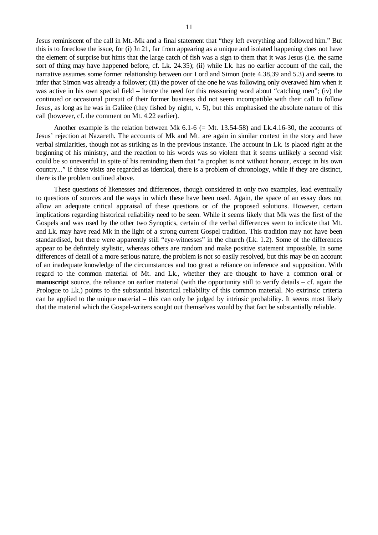Jesus reminiscent of the call in Mt.-Mk and a final statement that "they left everything and followed him." But this is to foreclose the issue, for (i) Jn 21, far from appearing as a unique and isolated happening does not have the element of surprise but hints that the large catch of fish was a sign to them that it was Jesus (i.e. the same sort of thing may have happened before, cf. Lk. 24.35); (ii) while Lk. has no earlier account of the call, the narrative assumes some former relationship between our Lord and Simon (note 4.38,39 and 5.3) and seems to infer that Simon was already a follower; (iii) the power of the one he was following only overawed him when it was active in his own special field – hence the need for this reassuring word about "catching men"; (iv) the continued or occasional pursuit of their former business did not seem incompatible with their call to follow Jesus, as long as he was in Galilee (they fished by night, v. 5), but this emphasised the absolute nature of this call (however, cf. the comment on Mt. 4.22 earlier).

Another example is the relation between Mk  $6.1-6$  (= Mt. 13.54-58) and Lk.4.16-30, the accounts of Jesus' rejection at Nazareth. The accounts of Mk and Mt. are again in similar context in the story and have verbal similarities, though not as striking as in the previous instance. The account in Lk. is placed right at the beginning of his ministry, and the reaction to his words was so violent that it seems unlikely a second visit could be so uneventful in spite of his reminding them that "a prophet is not without honour, except in his own country..." If these visits are regarded as identical, there is a problem of chronology, while if they are distinct, there is the problem outlined above.

These questions of likenesses and differences, though considered in only two examples, lead eventually to questions of sources and the ways in which these have been used. Again, the space of an essay does not allow an adequate critical appraisal of these questions or of the proposed solutions. However, certain implications regarding historical reliability need to be seen. While it seems likely that Mk was the first of the Gospels and was used by the other two Synoptics, certain of the verbal differences seem to indicate that Mt. and Lk. may have read Mk in the light of a strong current Gospel tradition. This tradition may not have been standardised, but there were apparently still "eye-witnesses" in the church (Lk. 1.2). Some of the differences appear to be definitely stylistic, whereas others are random and make positive statement impossible. In some differences of detail of a more serious nature, the problem is not so easily resolved, but this may be on account of an inadequate knowledge of the circumstances and too great a reliance on inference and supposition. With regard to the common material of Mt. and Lk., whether they are thought to have a common **oral** or **manuscript** source, the reliance on earlier material (with the opportunity still to verify details – cf. again the Prologue to Lk.) points to the substantial historical reliability of this common material. No extrinsic criteria can be applied to the unique material – this can only be judged by intrinsic probability. It seems most likely that the material which the Gospel-writers sought out themselves would by that fact be substantially reliable.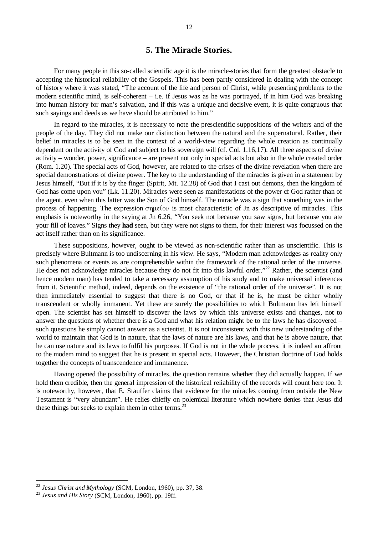# **5. The Miracle Stories.**

For many people in this so-called scientific age it is the miracle-stories that form the greatest obstacle to accepting the historical reliability of the Gospels. This has been partly considered in dealing with the concept of history where it was stated, "The account of the life and person of Christ, while presenting problems to the modern scientific mind, is self-coherent – i.e. if Jesus was as he was portrayed, if in him God was breaking into human history for man's salvation, and if this was a unique and decisive event, it is quite congruous that such sayings and deeds as we have should be attributed to him."

In regard to the miracles, it is necessary to note the prescientific suppositions of the writers and of the people of the day. They did not make our distinction between the natural and the supernatural. Rather, their belief in miracles is to be seen in the context of a world-view regarding the whole creation as continually dependent on the activity of God and subject to his sovereign will (cf. Col. 1.16,17). All three aspects of divine activity – wonder, power, significance – are present not only in special acts but also in the whole created order (Rom. 1.20). The special acts of God, however, are related to the crises of the divine revelation when there are special demonstrations of divine power. The key to the understanding of the miracles is given in a statement by Jesus himself, "But if it is by the finger (Spirit, Mt. 12.28) of God that I cast out demons, then the kingdom of God has come upon you" (Lk. 11.20). Miracles were seen as manifestations of the power cf God rather than of the agent, even when this latter was the Son of God himself. The miracle was a sign that something was in the process of happening. The expression  $\sigma$  in  $\sigma$  is most characteristic of Jn as descriptive of miracles. This emphasis is noteworthy in the saying at Jn 6.26, "You seek not because you saw signs, but because you ate your fill of loaves." Signs they **had** seen, but they were not signs to them, for their interest was focussed on the act itself rather than on its significance.

These suppositions, however, ought to be viewed as non-scientific rather than as unscientific. This is precisely where Bultmann is too undiscerning in his view. He says, "Modern man acknowledges as reality only such phenomena or events as are comprehensible within the framework of the rational order of the universe. He does not acknowledge miracles because they do not fit into this lawful order."<sup>22</sup> Rather, the scientist (and hence modern man) has tended to take a necessary assumption of his study and to make universal inferences from it. Scientific method, indeed, depends on the existence of "the rational order of the universe". It is not then immediately essential to suggest that there is no God, or that if he is, he must be either wholly transcendent or wholly immanent. Yet these are surely the possibilities to which Bultmann has left himself open. The scientist has set himself to discover the laws by which this universe exists and changes, not to answer the questions of whether there is a God and what his relation might be to the laws he has discovered – such questions he simply cannot answer as a scientist. It is not inconsistent with this new understanding of the world to maintain that God is in nature, that the laws of nature are his laws, and that he is above nature, that he can use nature and its laws to fulfil his purposes. If God is not in the whole process, it is indeed an affront to the modem mind to suggest that he is present in special acts. However, the Christian doctrine of God holds together the concepts of transcendence and immanence.

Having opened the possibility of miracles, the question remains whether they did actually happen. If we hold them credible, then the general impression of the historical reliability of the records will count here too. It is noteworthy, however, that E. Stauffer claims that evidence for the miracles coming from outside the New Testament is "very abundant". He relies chiefly on polemical literature which nowhere denies that Jesus did these things but seeks to explain them in other terms. $^{23}$ 

<sup>22</sup> *Jesus Christ and Mythology* (SCM, London, 1960), pp. 37, 38.

<sup>23</sup> *Jesus and His Story* (SCM, London, 1960), pp. 19ff.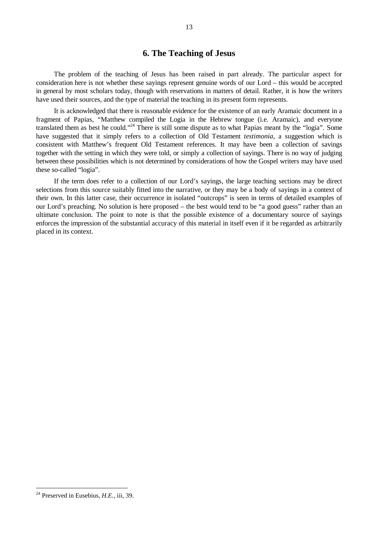# **6. The Teaching of Jesus**

The problem of the teaching of Jesus has been raised in part already. The particular aspect for consideration here is not whether these sayings represent genuine words of our Lord – this would be accepted in general by most scholars today, though with reservations in matters of detail. Rather, it is how the writers have used their sources, and the type of material the teaching in its present form represents.

It is acknowledged that there is reasonable evidence for the existence of an early Aramaic document in a fragment of Papias, "Matthew compiled the Logia in the Hebrew tongue (i.e. Aramaic), and everyone translated them as best he could."<sup>24</sup> There is still some dispute as to what Papias meant by the "logia". Some have suggested that it simply refers to a collection of Old Testament *testimonia*, a suggestion which is consistent with Matthew's frequent Old Testament references. It may have been a collection of savings together with the setting in which they were told, or simply a collection of sayings. There is no way of judging between these possibilities which is not determined by considerations of how the Gospel writers may have used these so-called "logia".

If the term does refer to a collection of our Lord's sayings, the large teaching sections may be direct selections from this source suitably fitted into the narrative, or they may be a body of sayings in a context of their own. In this latter case, their occurrence in isolated "outcrops" is seen in terms of detailed examples of our Lord's preaching. No solution is here proposed – the best would tend to be "a good guess" rather than an ultimate conclusion. The point to note is that the possible existence of a documentary source of sayings enforces the impression of the substantial accuracy of this material in itself even if it be regarded as arbitrarily placed in its context.

<sup>24</sup> Preserved in Eusebius, *H.E.*, iii, 39.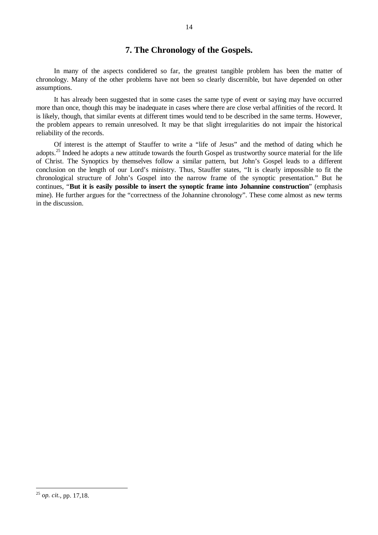# **7. The Chronology of the Gospels.**

In many of the aspects condidered so far, the greatest tangible problem has been the matter of chronology. Many of the other problems have not been so clearly discernible, but have depended on other assumptions.

It has already been suggested that in some cases the same type of event or saying may have occurred more than once, though this may be inadequate in cases where there are close verbal affinities of the record. It is likely, though, that similar events at different times would tend to be described in the same terms. However, the problem appears to remain unresolved. It may be that slight irregularities do not impair the historical reliability of the records.

Of interest is the attempt of Stauffer to write a "life of Jesus" and the method of dating which he adopts.<sup>25</sup> Indeed he adopts a new attitude towards the fourth Gospel as trustworthy source material for the life of Christ. The Synoptics by themselves follow a similar pattern, but John's Gospel leads to a different conclusion on the length of our Lord's ministry. Thus, Stauffer states, "It is clearly impossible to fit the chronological structure of John's Gospel into the narrow frame of the synoptic presentation." But he continues, "**But it is easily possible to insert the synoptic frame into Johannine construction**" (emphasis mine). He further argues for the "correctness of the Johannine chronology". These come almost as new terms in the discussion.

<sup>25</sup> *op. cit.*, pp. 17,18.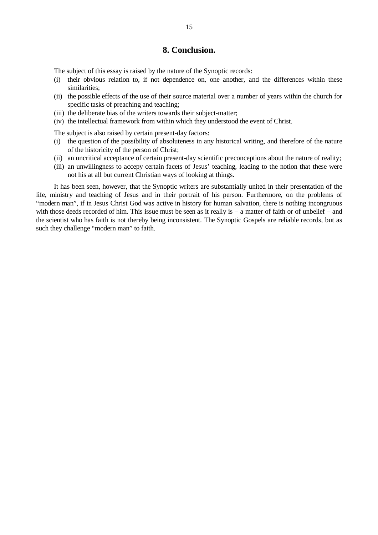### **8. Conclusion.**

The subject of this essay is raised by the nature of the Synoptic records:

- (i) their obvious relation to, if not dependence on, one another, and the differences within these similarities;
- (ii) the possible effects of the use of their source material over a number of years within the church for specific tasks of preaching and teaching;
- (iii) the deliberate bias of the writers towards their subject-matter;
- (iv) the intellectual framework from within which they understood the event of Christ.

The subject is also raised by certain present-day factors:

- (i) the question of the possibility of absoluteness in any historical writing, and therefore of the nature of the historicity of the person of Christ;
- (ii) an uncritical acceptance of certain present-day scientific preconceptions about the nature of reality;
- (iii) an unwillingness to accepy certain facets of Jesus' teaching, leading to the notion that these were not his at all but current Christian ways of looking at things.

It has been seen, however, that the Synoptic writers are substantially united in their presentation of the life, ministry and teaching of Jesus and in their portrait of his person. Furthermore, on the problems of "modern man", if in Jesus Christ God was active in history for human salvation, there is nothing incongruous with those deeds recorded of him. This issue must be seen as it really is  $-$  a matter of faith or of unbelief  $-$  and the scientist who has faith is not thereby being inconsistent. The Synoptic Gospels are reliable records, but as such they challenge "modern man" to faith.